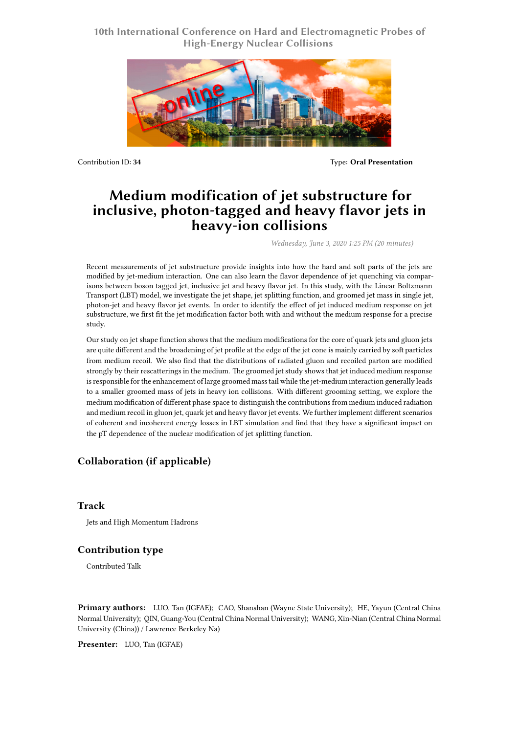# **10th International Conference on Hard and Electromagnetic Probes of High-Energy Nuclear Collisions**



Contribution ID: **34** Type: **Oral Presentation**

# **Medium modification of jet substructure for inclusive, photon-tagged and heavy flavor jets in heavy-ion collisions**

*Wednesday, June 3, 2020 1:25 PM (20 minutes)*

Recent measurements of jet substructure provide insights into how the hard and soft parts of the jets are modified by jet-medium interaction. One can also learn the flavor dependence of jet quenching via comparisons between boson tagged jet, inclusive jet and heavy flavor jet. In this study, with the Linear Boltzmann Transport (LBT) model, we investigate the jet shape, jet splitting function, and groomed jet mass in single jet, photon-jet and heavy flavor jet events. In order to identify the effect of jet induced medium response on jet substructure, we first fit the jet modification factor both with and without the medium response for a precise study.

Our study on jet shape function shows that the medium modifications for the core of quark jets and gluon jets are quite different and the broadening of jet profile at the edge of the jet cone is mainly carried by soft particles from medium recoil. We also find that the distributions of radiated gluon and recoiled parton are modified strongly by their rescatterings in the medium. The groomed jet study shows that jet induced medium response is responsible for the enhancement of large groomed mass tail while the jet-medium interaction generally leads to a smaller groomed mass of jets in heavy ion collisions. With different grooming setting, we explore the medium modification of different phase space to distinguish the contributions from medium induced radiation and medium recoil in gluon jet, quark jet and heavy flavor jet events. We further implement different scenarios of coherent and incoherent energy losses in LBT simulation and find that they have a significant impact on the pT dependence of the nuclear modification of jet splitting function.

## **Collaboration (if applicable)**

#### **Track**

Jets and High Momentum Hadrons

### **Contribution type**

Contributed Talk

**Primary authors:** LUO, Tan (IGFAE); CAO, Shanshan (Wayne State University); HE, Yayun (Central China Normal University); QIN, Guang-You (Central China Normal University); WANG, Xin-Nian (Central China Normal University (China)) / Lawrence Berkeley Na)

**Presenter:** LUO, Tan (IGFAE)